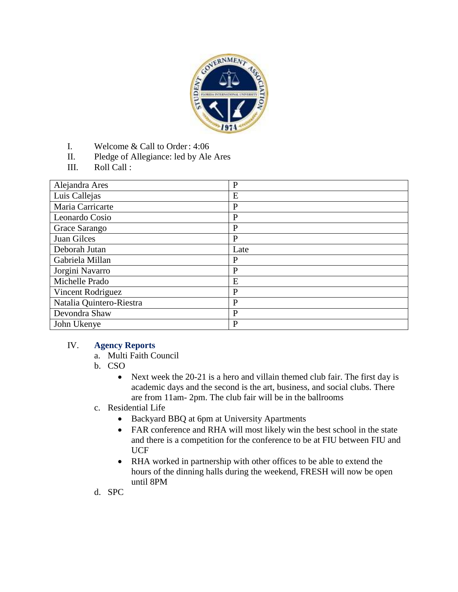

- I. Welcome & Call to Order: 4:06
- II. Pledge of Allegiance: led by Ale Ares
- III. Roll Call :

| Alejandra Ares           | $\mathbf{P}$ |
|--------------------------|--------------|
| Luis Callejas            | E            |
| Maria Carricarte         | $\mathbf{P}$ |
| Leonardo Cosio           | $\mathbf{P}$ |
| Grace Sarango            | $\mathbf{P}$ |
| Juan Gilces              | $\mathbf{P}$ |
| Deborah Jutan            | Late         |
| Gabriela Millan          | P            |
| Jorgini Navarro          | $\mathbf{P}$ |
| Michelle Prado           | E            |
| Vincent Rodriguez        | P            |
| Natalia Quintero-Riestra | P            |
| Devondra Shaw            | P            |
| John Ukenye              | P            |

#### IV. **Agency Reports**

- a. Multi Faith Council
- b. CSO
	- Next week the 20-21 is a hero and villain themed club fair. The first day is academic days and the second is the art, business, and social clubs. There are from 11am- 2pm. The club fair will be in the ballrooms
- c. Residential Life
	- Backyard BBQ at 6pm at University Apartments
	- FAR conference and RHA will most likely win the best school in the state and there is a competition for the conference to be at FIU between FIU and UCF
	- RHA worked in partnership with other offices to be able to extend the hours of the dinning halls during the weekend, FRESH will now be open until 8PM
- d. SPC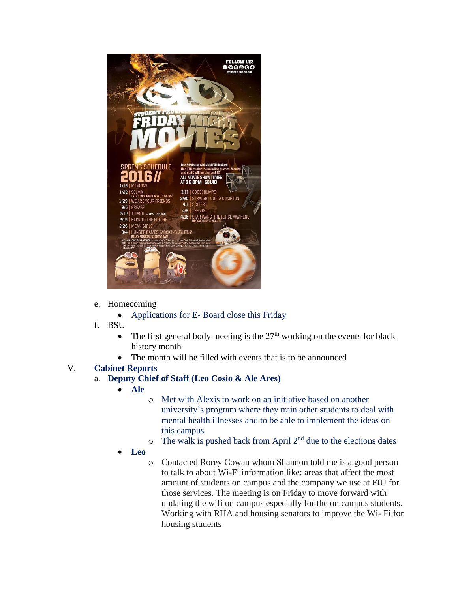

- e. Homecoming
	- Applications for E- Board close this Friday
- f. BSU
	- The first general body meeting is the  $27<sup>th</sup>$  working on the events for black history month
	- The month will be filled with events that is to be announced

#### V. **Cabinet Reports**

## a. **Deputy Chief of Staff (Leo Cosio & Ale Ares)**

- **Ale**
- o Met with Alexis to work on an initiative based on another university's program where they train other students to deal with mental health illnesses and to be able to implement the ideas on this campus
- $\circ$  The walk is pushed back from April 2<sup>nd</sup> due to the elections dates
- **Leo**
	- o Contacted Rorey Cowan whom Shannon told me is a good person to talk to about Wi-Fi information like: areas that affect the most amount of students on campus and the company we use at FIU for those services. The meeting is on Friday to move forward with updating the wifi on campus especially for the on campus students. Working with RHA and housing senators to improve the Wi- Fi for housing students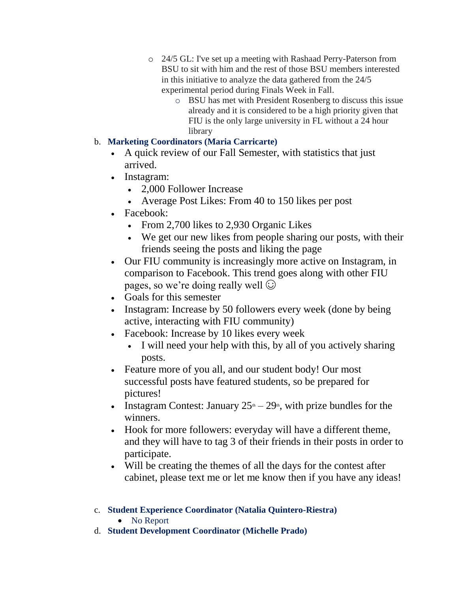- o 24/5 GL: I've set up a meeting with Rashaad Perry-Paterson from BSU to sit with him and the rest of those BSU members interested in this initiative to analyze the data gathered from the 24/5 experimental period during Finals Week in Fall.
	- o BSU has met with President Rosenberg to discuss this issue already and it is considered to be a high priority given that FIU is the only large university in FL without a 24 hour library

# b. **Marketing Coordinators (Maria Carricarte)**

- A quick review of our Fall Semester, with statistics that just arrived.
- Instagram:
	- 2,000 Follower Increase
	- Average Post Likes: From 40 to 150 likes per post
- Facebook:
	- From 2,700 likes to 2,930 Organic Likes
	- We get our new likes from people sharing our posts, with their friends seeing the posts and liking the page
- Our FIU community is increasingly more active on Instagram, in comparison to Facebook. This trend goes along with other FIU pages, so we're doing really well  $\odot$
- Goals for this semester
- Instagram: Increase by 50 followers every week (done by being active, interacting with FIU community)
- Facebook: Increase by 10 likes every week
	- I will need your help with this, by all of you actively sharing posts.
- Feature more of you all, and our student body! Our most successful posts have featured students, so be prepared for pictures!
- Instagram Contest: January  $25<sup>th</sup> 29<sup>th</sup>$ , with prize bundles for the winners.
- Hook for more followers: everyday will have a different theme, and they will have to tag 3 of their friends in their posts in order to participate.
- Will be creating the themes of all the days for the contest after cabinet, please text me or let me know then if you have any ideas!
- c. **Student Experience Coordinator (Natalia Quintero-Riestra)** • No Report
- d. **Student Development Coordinator (Michelle Prado)**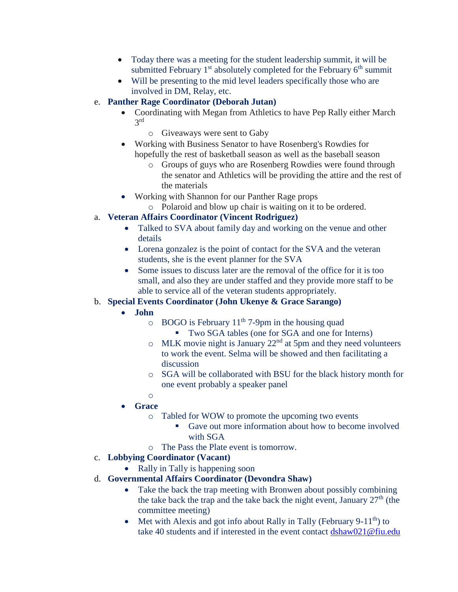- Today there was a meeting for the student leadership summit, it will be submitted February  $1<sup>st</sup>$  absolutely completed for the February  $6<sup>th</sup>$  summit
- Will be presenting to the mid level leaders specifically those who are involved in DM, Relay, etc.

## e. **Panther Rage Coordinator (Deborah Jutan)**

- Coordinating with Megan from Athletics to have Pep Rally either March 3 rd
	- o Giveaways were sent to Gaby
- Working with Business Senator to have Rosenberg's Rowdies for hopefully the rest of basketball season as well as the baseball season
	- o Groups of guys who are Rosenberg Rowdies were found through the senator and Athletics will be providing the attire and the rest of the materials
	- Working with Shannon for our Panther Rage props
	- o Polaroid and blow up chair is waiting on it to be ordered.

### a. **Veteran Affairs Coordinator (Vincent Rodriguez)**

- Talked to SVA about family day and working on the venue and other details
- Lorena gonzalez is the point of contact for the SVA and the veteran students, she is the event planner for the SVA
- Some issues to discuss later are the removal of the office for it is too small, and also they are under staffed and they provide more staff to be able to service all of the veteran students appropriately.

## b. **Special Events Coordinator (John Ukenye & Grace Sarango)**

- **John** 
	- $\circ$  BOGO is February 11<sup>th</sup> 7-9pm in the housing quad
		- Two SGA tables (one for SGA and one for Interns)
	- $\circ$  MLK movie night is January 22<sup>nd</sup> at 5pm and they need volunteers to work the event. Selma will be showed and then facilitating a discussion
	- o SGA will be collaborated with BSU for the black history month for one event probably a speaker panel
	- o
- **Grace**
	- o Tabled for WOW to promote the upcoming two events
		- Gave out more information about how to become involved with SGA
	- o The Pass the Plate event is tomorrow.
- c. **Lobbying Coordinator (Vacant)** 
	- Rally in Tally is happening soon
- d. **Governmental Affairs Coordinator (Devondra Shaw)**
	- Take the back the trap meeting with Bronwen about possibly combining the take back the trap and the take back the night event, January  $27<sup>th</sup>$  (the committee meeting)
	- Met with Alexis and got info about Rally in Tally (February 9-11<sup>th</sup>) to take 40 students and if interested in the event contact [dshaw021@fiu.edu](mailto:dshaw021@fiu.edu)